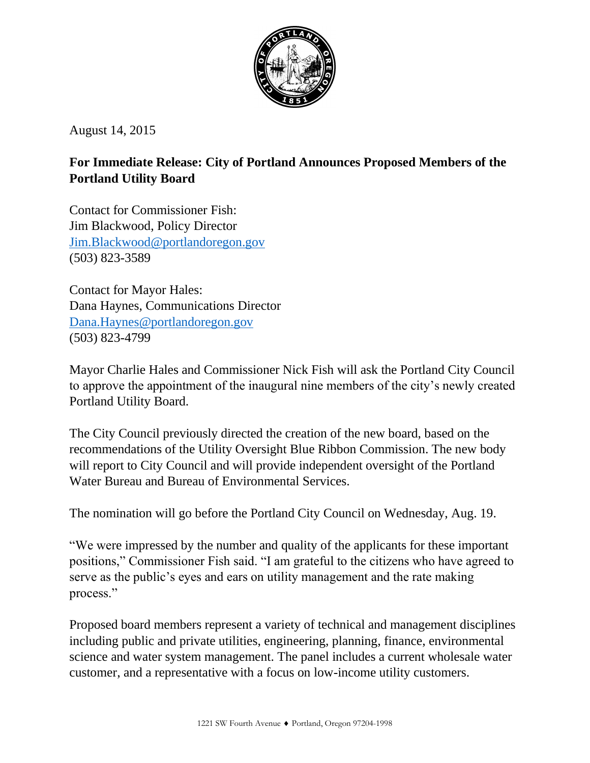

August 14, 2015

# **For Immediate Release: City of Portland Announces Proposed Members of the Portland Utility Board**

Contact for Commissioner Fish: Jim Blackwood, Policy Director [Jim.Blackwood@portlandoregon.gov](mailto:Jim.Blackwood@portlandoregon.gov) (503) 823-3589

Contact for Mayor Hales: Dana Haynes, Communications Director [Dana.Haynes@portlandoregon.gov](mailto:Dana.Haynes@portlandoregon.gov) (503) 823-4799

Mayor Charlie Hales and Commissioner Nick Fish will ask the Portland City Council to approve the appointment of the inaugural nine members of the city's newly created Portland Utility Board.

The City Council previously directed the creation of the new board, based on the recommendations of the Utility Oversight Blue Ribbon Commission. The new body will report to City Council and will provide independent oversight of the Portland Water Bureau and Bureau of Environmental Services.

The nomination will go before the Portland City Council on Wednesday, Aug. 19.

"We were impressed by the number and quality of the applicants for these important positions," Commissioner Fish said. "I am grateful to the citizens who have agreed to serve as the public's eyes and ears on utility management and the rate making process."

Proposed board members represent a variety of technical and management disciplines including public and private utilities, engineering, planning, finance, environmental science and water system management. The panel includes a current wholesale water customer, and a representative with a focus on low-income utility customers.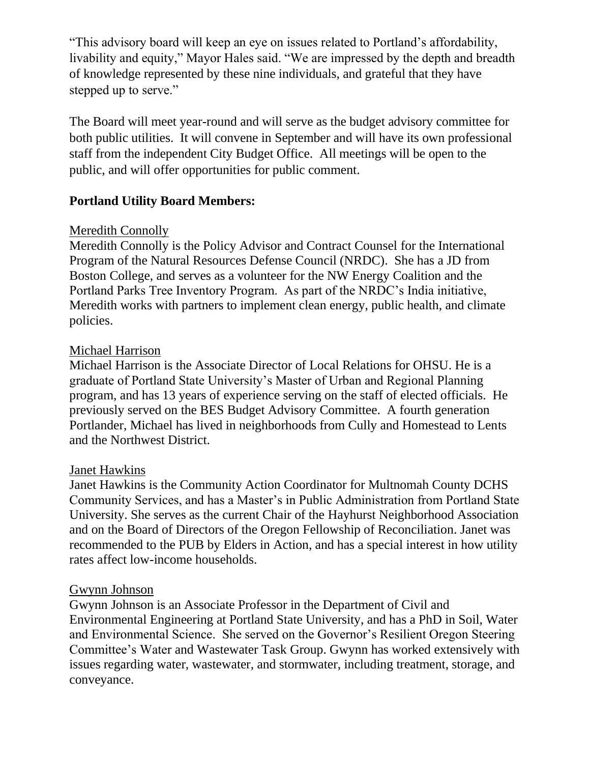"This advisory board will keep an eye on issues related to Portland's affordability, livability and equity," Mayor Hales said. "We are impressed by the depth and breadth of knowledge represented by these nine individuals, and grateful that they have stepped up to serve."

The Board will meet year-round and will serve as the budget advisory committee for both public utilities. It will convene in September and will have its own professional staff from the independent City Budget Office. All meetings will be open to the public, and will offer opportunities for public comment.

# **Portland Utility Board Members:**

### Meredith Connolly

Meredith Connolly is the Policy Advisor and Contract Counsel for the International Program of the Natural Resources Defense Council (NRDC). She has a JD from Boston College, and serves as a volunteer for the NW Energy Coalition and the Portland Parks Tree Inventory Program. As part of the NRDC's India initiative, Meredith works with partners to implement clean energy, public health, and climate policies.

#### Michael Harrison

Michael Harrison is the Associate Director of Local Relations for OHSU. He is a graduate of Portland State University's Master of Urban and Regional Planning program, and has 13 years of experience serving on the staff of elected officials. He previously served on the BES Budget Advisory Committee. A fourth generation Portlander, Michael has lived in neighborhoods from Cully and Homestead to Lents and the Northwest District.

#### Janet Hawkins

Janet Hawkins is the Community Action Coordinator for Multnomah County DCHS Community Services, and has a Master's in Public Administration from Portland State University. She serves as the current Chair of the Hayhurst Neighborhood Association and on the Board of Directors of the Oregon Fellowship of Reconciliation. Janet was recommended to the PUB by Elders in Action, and has a special interest in how utility rates affect low-income households.

#### Gwynn Johnson

Gwynn Johnson is an Associate Professor in the Department of Civil and Environmental Engineering at Portland State University, and has a PhD in Soil, Water and Environmental Science. She served on the Governor's Resilient Oregon Steering Committee's Water and Wastewater Task Group. Gwynn has worked extensively with issues regarding water, wastewater, and stormwater, including treatment, storage, and conveyance.